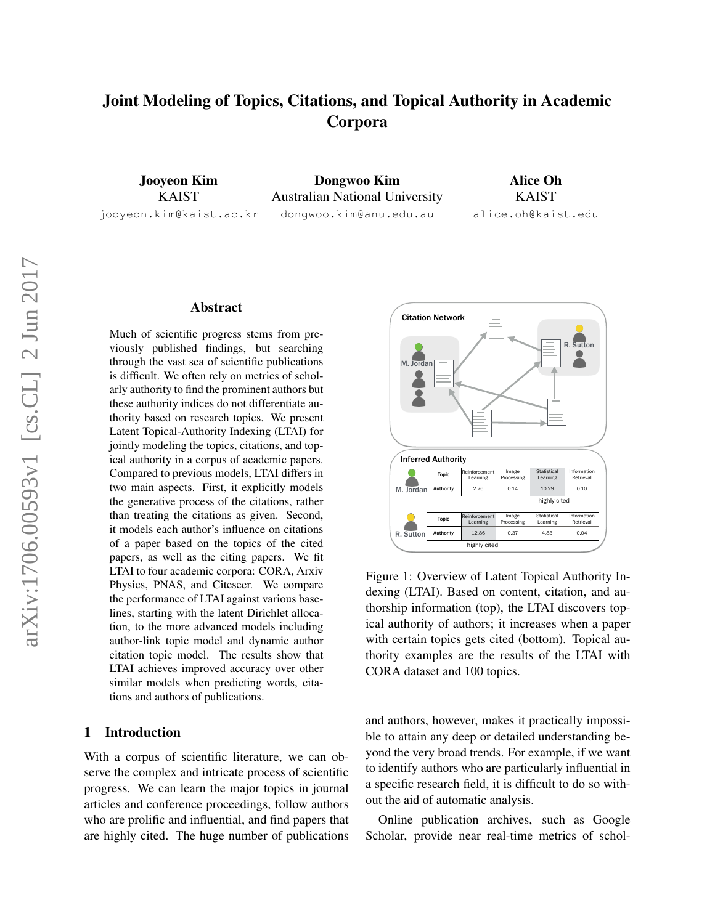# Joint Modeling of Topics, Citations, and Topical Authority in Academic Corpora

Jooyeon Kim KAIST jooyeon.kim@kaist.ac.kr

Dongwoo Kim Australian National University dongwoo.kim@anu.edu.au

Alice Oh KAIST alice.oh@kaist.edu

# Abstract

Much of scientific progress stems from previously published findings, but searching through the vast sea of scientific publications is difficult. We often rely on metrics of scholarly authority to find the prominent authors but these authority indices do not differentiate authority based on research topics. We present Latent Topical-Authority Indexing (LTAI) for jointly modeling the topics, citations, and topical authority in a corpus of academic papers. Compared to previous models, LTAI differs in two main aspects. First, it explicitly models the generative process of the citations, rather than treating the citations as given. Second, it models each author's influence on citations of a paper based on the topics of the cited papers, as well as the citing papers. We fit LTAI to four academic corpora: CORA, Arxiv Physics, PNAS, and Citeseer. We compare the performance of LTAI against various baselines, starting with the latent Dirichlet allocation, to the more advanced models including author-link topic model and dynamic author citation topic model. The results show that LTAI achieves improved accuracy over other similar models when predicting words, citations and authors of publications.

# 1 Introduction

With a corpus of scientific literature, we can observe the complex and intricate process of scientific progress. We can learn the major topics in journal articles and conference proceedings, follow authors who are prolific and influential, and find papers that are highly cited. The huge number of publications

<span id="page-0-0"></span>

Figure 1: Overview of Latent Topical Authority Indexing (LTAI). Based on content, citation, and authorship information (top), the LTAI discovers topical authority of authors; it increases when a paper with certain topics gets cited (bottom). Topical authority examples are the results of the LTAI with CORA dataset and 100 topics.

and authors, however, makes it practically impossible to attain any deep or detailed understanding beyond the very broad trends. For example, if we want to identify authors who are particularly influential in a specific research field, it is difficult to do so without the aid of automatic analysis.

Online publication archives, such as Google Scholar, provide near real-time metrics of schol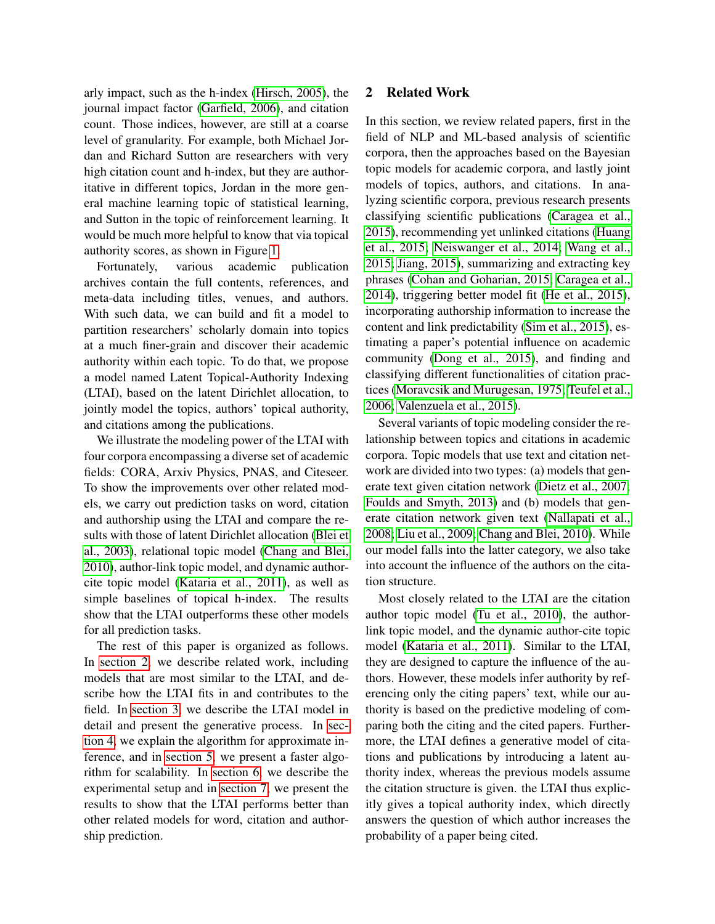arly impact, such as the h-index [\(Hirsch, 2005\)](#page-12-0), the journal impact factor [\(Garfield, 2006\)](#page-12-1), and citation count. Those indices, however, are still at a coarse level of granularity. For example, both Michael Jordan and Richard Sutton are researchers with very high citation count and h-index, but they are authoritative in different topics, Jordan in the more general machine learning topic of statistical learning, and Sutton in the topic of reinforcement learning. It would be much more helpful to know that via topical authority scores, as shown in Figure [1.](#page-0-0)

Fortunately, various academic publication archives contain the full contents, references, and meta-data including titles, venues, and authors. With such data, we can build and fit a model to partition researchers' scholarly domain into topics at a much finer-grain and discover their academic authority within each topic. To do that, we propose a model named Latent Topical-Authority Indexing (LTAI), based on the latent Dirichlet allocation, to jointly model the topics, authors' topical authority, and citations among the publications.

We illustrate the modeling power of the LTAI with four corpora encompassing a diverse set of academic fields: CORA, Arxiv Physics, PNAS, and Citeseer. To show the improvements over other related models, we carry out prediction tasks on word, citation and authorship using the LTAI and compare the results with those of latent Dirichlet allocation [\(Blei et](#page-12-2) [al., 2003\)](#page-12-2), relational topic model [\(Chang and Blei,](#page-12-3) [2010\)](#page-12-3), author-link topic model, and dynamic authorcite topic model [\(Kataria et al., 2011\)](#page-12-4), as well as simple baselines of topical h-index. The results show that the LTAI outperforms these other models for all prediction tasks.

The rest of this paper is organized as follows. In [section 2,](#page-1-0) we describe related work, including models that are most similar to the LTAI, and describe how the LTAI fits in and contributes to the field. In [section 3,](#page-2-0) we describe the LTAI model in detail and present the generative process. In [sec](#page-3-0)[tion 4,](#page-3-0) we explain the algorithm for approximate inference, and in [section 5,](#page-5-0) we present a faster algorithm for scalability. In [section 6,](#page-6-0) we describe the experimental setup and in [section 7,](#page-8-0) we present the results to show that the LTAI performs better than other related models for word, citation and authorship prediction.

# <span id="page-1-0"></span>2 Related Work

In this section, we review related papers, first in the field of NLP and ML-based analysis of scientific corpora, then the approaches based on the Bayesian topic models for academic corpora, and lastly joint models of topics, authors, and citations. In analyzing scientific corpora, previous research presents classifying scientific publications [\(Caragea et al.,](#page-12-5) [2015\)](#page-12-5), recommending yet unlinked citations [\(Huang](#page-12-6) [et al., 2015;](#page-12-6) [Neiswanger et al., 2014;](#page-12-7) [Wang et al.,](#page-13-0) [2015;](#page-13-0) [Jiang, 2015\)](#page-12-8), summarizing and extracting key phrases [\(Cohan and Goharian, 2015;](#page-12-9) [Caragea et al.,](#page-12-10) [2014\)](#page-12-10), triggering better model fit [\(He et al., 2015\)](#page-12-11), incorporating authorship information to increase the content and link predictability [\(Sim et al., 2015\)](#page-13-1), estimating a paper's potential influence on academic community [\(Dong et al., 2015\)](#page-12-12), and finding and classifying different functionalities of citation practices [\(Moravcsik and Murugesan, 1975;](#page-12-13) [Teufel et al.,](#page-13-2) [2006;](#page-13-2) [Valenzuela et al., 2015\)](#page-13-3).

Several variants of topic modeling consider the relationship between topics and citations in academic corpora. Topic models that use text and citation network are divided into two types: (a) models that generate text given citation network [\(Dietz et al., 2007;](#page-12-14) [Foulds and Smyth, 2013\)](#page-12-15) and (b) models that generate citation network given text [\(Nallapati et al.,](#page-12-16) [2008;](#page-12-16) [Liu et al., 2009;](#page-12-17) [Chang and Blei, 2010\)](#page-12-3). While our model falls into the latter category, we also take into account the influence of the authors on the citation structure.

Most closely related to the LTAI are the citation author topic model [\(Tu et al., 2010\)](#page-13-4), the authorlink topic model, and the dynamic author-cite topic model [\(Kataria et al., 2011\)](#page-12-4). Similar to the LTAI, they are designed to capture the influence of the authors. However, these models infer authority by referencing only the citing papers' text, while our authority is based on the predictive modeling of comparing both the citing and the cited papers. Furthermore, the LTAI defines a generative model of citations and publications by introducing a latent authority index, whereas the previous models assume the citation structure is given. the LTAI thus explicitly gives a topical authority index, which directly answers the question of which author increases the probability of a paper being cited.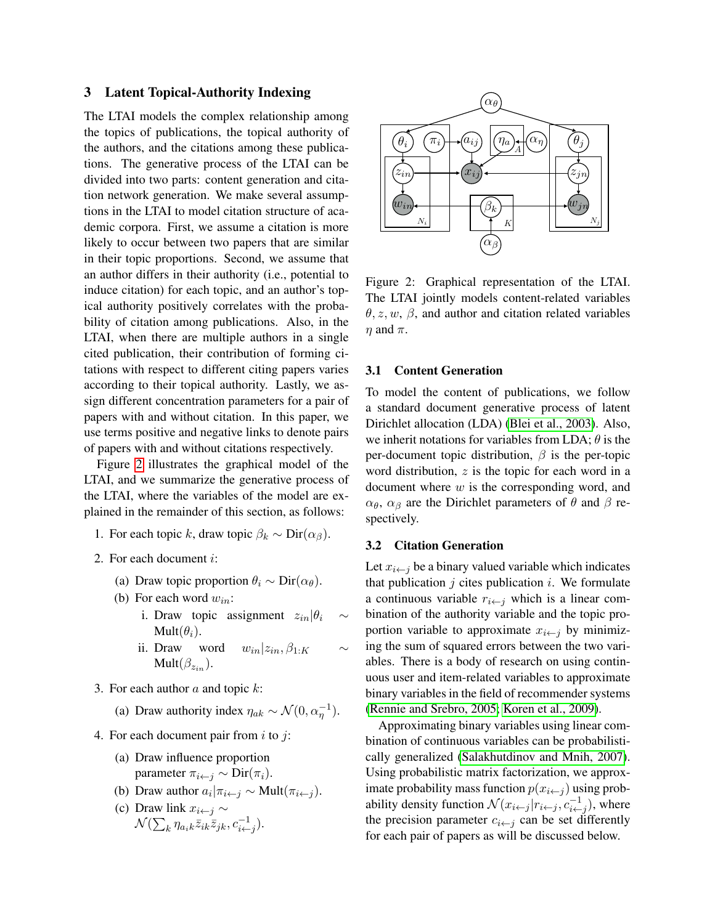## <span id="page-2-0"></span>3 Latent Topical-Authority Indexing

The LTAI models the complex relationship among the topics of publications, the topical authority of the authors, and the citations among these publications. The generative process of the LTAI can be divided into two parts: content generation and citation network generation. We make several assumptions in the LTAI to model citation structure of academic corpora. First, we assume a citation is more likely to occur between two papers that are similar in their topic proportions. Second, we assume that an author differs in their authority (i.e., potential to induce citation) for each topic, and an author's topical authority positively correlates with the probability of citation among publications. Also, in the LTAI, when there are multiple authors in a single cited publication, their contribution of forming citations with respect to different citing papers varies according to their topical authority. Lastly, we assign different concentration parameters for a pair of papers with and without citation. In this paper, we use terms positive and negative links to denote pairs of papers with and without citations respectively.

Figure [2](#page-2-1) illustrates the graphical model of the LTAI, and we summarize the generative process of the LTAI, where the variables of the model are explained in the remainder of this section, as follows:

- 1. For each topic k, draw topic  $\beta_k \sim \text{Dir}(\alpha_\beta)$ .
- 2. For each document i:
	- (a) Draw topic proportion  $\theta_i \sim \text{Dir}(\alpha_{\theta})$ .
	- (b) For each word  $w_{in}$ :
		- i. Draw topic assignment  $z_{in}|\theta_i \sim$  $Mult(\theta_i)$ .
		- ii. Draw word  $w_{in}|z_{in}, \beta_{1:K} \sim$ Mult $(\beta_{z_{in}})$ .
- 3. For each author  $a$  and topic  $k$ :

(a) Draw authority index  $\eta_{ak} \sim \mathcal{N}(0, \alpha_{\eta}^{-1}).$ 

- 4. For each document pair from  $i$  to  $j$ :
	- (a) Draw influence proportion parameter  $\pi_{i \leftarrow j} \sim \text{Dir}(\pi_i)$ .
	- (b) Draw author  $a_i | \pi_{i \leftarrow j} \sim \text{Mult}(\pi_{i \leftarrow j}).$
	- (c) Draw link  $x_{i \leftarrow j}$  ∼  $\mathcal{N}(\sum_{k}\eta_{a_{i}k}\bar{z}_{ik}\bar{z}_{jk},c_{i\leftarrow j}^{-1}).$

<span id="page-2-1"></span>

Figure 2: Graphical representation of the LTAI. The LTAI jointly models content-related variables  $\theta$ , z, w,  $\beta$ , and author and citation related variables  $n$  and  $\pi$ .

#### 3.1 Content Generation

To model the content of publications, we follow a standard document generative process of latent Dirichlet allocation (LDA) [\(Blei et al., 2003\)](#page-12-2). Also, we inherit notations for variables from LDA;  $\theta$  is the per-document topic distribution,  $\beta$  is the per-topic word distribution, z is the topic for each word in a document where  $w$  is the corresponding word, and  $\alpha_{\theta}$ ,  $\alpha_{\beta}$  are the Dirichlet parameters of  $\theta$  and  $\beta$  respectively.

#### <span id="page-2-2"></span>3.2 Citation Generation

Let  $x_{i \leftarrow j}$  be a binary valued variable which indicates that publication  $j$  cites publication  $i$ . We formulate a continuous variable  $r_{i \leftarrow j}$  which is a linear combination of the authority variable and the topic proportion variable to approximate  $x_{i \leftarrow j}$  by minimizing the sum of squared errors between the two variables. There is a body of research on using continuous user and item-related variables to approximate binary variables in the field of recommender systems [\(Rennie and Srebro, 2005;](#page-13-5) [Koren et al., 2009\)](#page-12-18).

Approximating binary variables using linear combination of continuous variables can be probabilistically generalized [\(Salakhutdinov and Mnih, 2007\)](#page-13-6). Using probabilistic matrix factorization, we approximate probability mass function  $p(x_{i \leftarrow j})$  using probability density function  $\mathcal{N}(x_{i \leftarrow j} | r_{i \leftarrow j}, c_{i \leftarrow j}^{-1})$ , where the precision parameter  $c_{i \leftarrow j}$  can be set differently for each pair of papers as will be discussed below.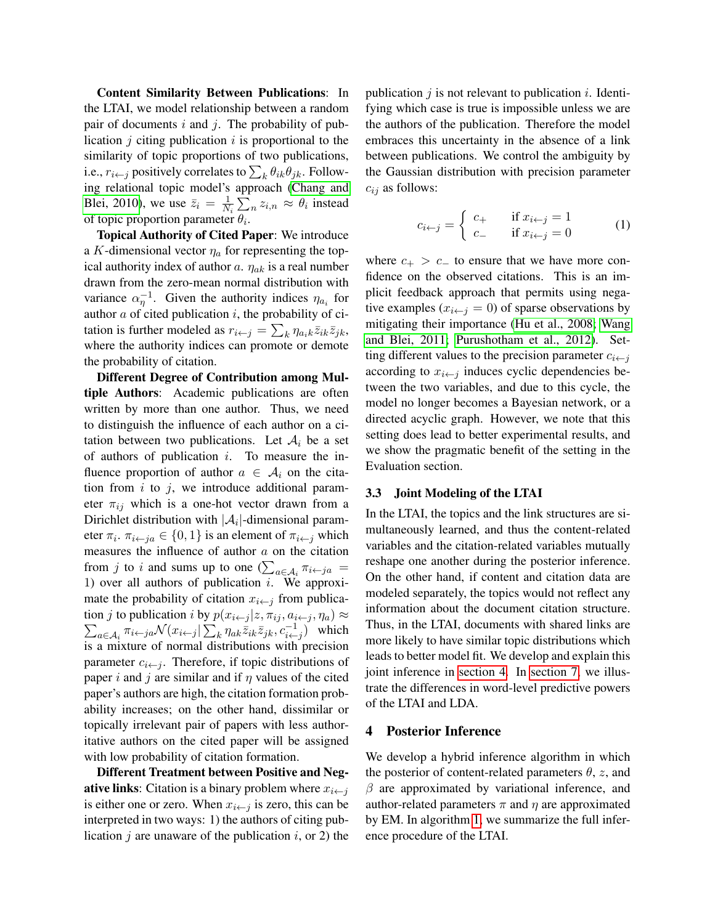Content Similarity Between Publications: In the LTAI, we model relationship between a random pair of documents  $i$  and  $j$ . The probability of publication  $j$  citing publication  $i$  is proportional to the similarity of topic proportions of two publications, i.e.,  $r_{i \leftarrow j}$  positively correlates to  $\sum_k \theta_{ik} \theta_{jk}$ . Following relational topic model's approach [\(Chang and](#page-12-3) [Blei, 2010\)](#page-12-3), we use  $\bar{z}_i = \frac{1}{N}$  $\frac{1}{N_i} \sum_n z_{i,n} \approx \theta_i$  instead of topic proportion parameter  $\theta_i$ .

Topical Authority of Cited Paper: We introduce a K-dimensional vector  $\eta_a$  for representing the topical authority index of author a.  $\eta_{ak}$  is a real number drawn from the zero-mean normal distribution with variance  $\alpha_{\eta}^{-1}$ . Given the authority indices  $\eta_{a_i}$  for author  $a$  of cited publication  $i$ , the probability of citation is further modeled as  $r_{i \leftarrow j} = \sum_{k} \eta_{a_k} \bar{z}_{ik} \bar{z}_{jk}$ , where the authority indices can promote or demote the probability of citation.

Different Degree of Contribution among Multiple Authors: Academic publications are often written by more than one author. Thus, we need to distinguish the influence of each author on a citation between two publications. Let  $A_i$  be a set of authors of publication  $i$ . To measure the influence proportion of author  $a \in \mathcal{A}_i$  on the citation from  $i$  to  $j$ , we introduce additional parameter  $\pi_{ij}$  which is a one-hot vector drawn from a Dirichlet distribution with  $|\mathcal{A}_i|$ -dimensional parameter  $\pi_i$ .  $\pi_{i \leftarrow ja} \in \{0, 1\}$  is an element of  $\pi_{i \leftarrow j}$  which measures the influence of author  $a$  on the citation from j to i and sums up to one ( $\sum_{a \in A_i} \pi_{i \leftarrow ja} =$ 1) over all authors of publication  $i$ . We approximate the probability of citation  $x_{i \leftarrow j}$  from publica- $\sum_{a \in \mathcal{A}_i} \pi_{i \leftarrow j a} \mathcal{N}(x_{i \leftarrow j} | \sum_{k} \eta_{a k} \overline{z}_{i k} \overline{z}_{j k}, c_{i \leftarrow j}^{-1})$  which tion *j* to publication *i* by  $p(x_{i \leftarrow j} | z, \pi_{ij}, a_{i \leftarrow j}, \eta_a) \approx$ is a mixture of normal distributions with precision parameter  $c_{i \leftarrow j}$ . Therefore, if topic distributions of paper i and j are similar and if  $\eta$  values of the cited paper's authors are high, the citation formation probability increases; on the other hand, dissimilar or topically irrelevant pair of papers with less authoritative authors on the cited paper will be assigned with low probability of citation formation.

Different Treatment between Positive and Negative links: Citation is a binary problem where  $x_{i \leftarrow j}$ is either one or zero. When  $x_{i \leftarrow j}$  is zero, this can be interpreted in two ways: 1) the authors of citing publication  $j$  are unaware of the publication  $i$ , or 2) the

publication  $j$  is not relevant to publication  $i$ . Identifying which case is true is impossible unless we are the authors of the publication. Therefore the model embraces this uncertainty in the absence of a link between publications. We control the ambiguity by the Gaussian distribution with precision parameter  $c_{ij}$  as follows:

$$
c_{i \leftarrow j} = \begin{cases} c_{+} & \text{if } x_{i \leftarrow j} = 1 \\ c_{-} & \text{if } x_{i \leftarrow j} = 0 \end{cases} \tag{1}
$$

where  $c_{+} > c_{-}$  to ensure that we have more confidence on the observed citations. This is an implicit feedback approach that permits using negative examples  $(x_{i \leftarrow j} = 0)$  of sparse observations by mitigating their importance [\(Hu et al., 2008;](#page-12-19) [Wang](#page-13-7) [and Blei, 2011;](#page-13-7) [Purushotham et al., 2012\)](#page-12-20). Setting different values to the precision parameter  $c_{i \leftarrow j}$ according to  $x_{i \leftarrow j}$  induces cyclic dependencies between the two variables, and due to this cycle, the model no longer becomes a Bayesian network, or a directed acyclic graph. However, we note that this setting does lead to better experimental results, and we show the pragmatic benefit of the setting in the Evaluation section.

#### 3.3 Joint Modeling of the LTAI

In the LTAI, the topics and the link structures are simultaneously learned, and thus the content-related variables and the citation-related variables mutually reshape one another during the posterior inference. On the other hand, if content and citation data are modeled separately, the topics would not reflect any information about the document citation structure. Thus, in the LTAI, documents with shared links are more likely to have similar topic distributions which leads to better model fit. We develop and explain this joint inference in [section 4.](#page-3-0) In [section 7,](#page-8-0) we illustrate the differences in word-level predictive powers of the LTAI and LDA.

#### <span id="page-3-0"></span>4 Posterior Inference

We develop a hybrid inference algorithm in which the posterior of content-related parameters  $\theta$ , z, and  $\beta$  are approximated by variational inference, and author-related parameters  $\pi$  and  $\eta$  are approximated by EM. In algorithm [1,](#page-4-0) we summarize the full inference procedure of the LTAI.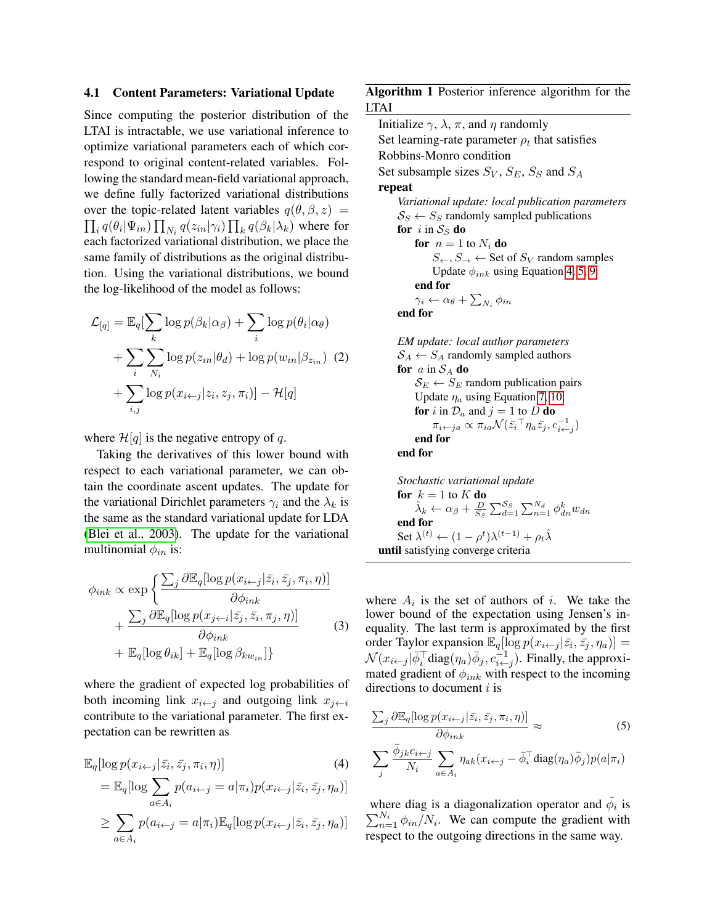#### 4.1 Content Parameters: Variational Update

Since computing the posterior distribution of the LTAI is intractable, we use variational inference to optimize variational parameters each of which correspond to original content-related variables. Following the standard mean-field variational approach, we define fully factorized variational distributions over the topic-related latent variables  $q(\theta, \beta, z)$  =  $\prod_i q(\theta_i | \Psi_{in}) \prod_{N_i} q(z_{in} | \gamma_i) \prod_k q(\beta_k | \lambda_k)$  where for each factorized variational distribution, we place the same family of distributions as the original distribution. Using the variational distributions, we bound the log-likelihood of the model as follows:

$$
\mathcal{L}_{[q]} = \mathbb{E}_{q}[\sum_{k} \log p(\beta_{k}|\alpha_{\beta}) + \sum_{i} \log p(\theta_{i}|\alpha_{\theta})
$$

$$
+ \sum_{i} \sum_{N_{i}} \log p(z_{in}|\theta_{d}) + \log p(w_{in}|\beta_{z_{in}}) (2)
$$

$$
+ \sum_{i,j} \log p(x_{i \leftarrow j} | z_{i}, z_{j}, \pi_{i})] - \mathcal{H}[q]
$$

where  $\mathcal{H}[q]$  is the negative entropy of q.

Taking the derivatives of this lower bound with respect to each variational parameter, we can obtain the coordinate ascent updates. The update for the variational Dirichlet parameters  $\gamma_i$  and the  $\lambda_k$  is the same as the standard variational update for LDA [\(Blei et al., 2003\)](#page-12-2). The update for the variational multinomial  $\phi_{in}$  is:

$$
\phi_{ink} \propto \exp \left\{ \frac{\sum_{j} \partial \mathbb{E}_{q} [\log p(x_{i \leftarrow j} | \bar{z}_{i}, \bar{z}_{j}, \pi_{i}, \eta)]}{\partial \phi_{ink}} + \frac{\sum_{j} \partial \mathbb{E}_{q} [\log p(x_{j \leftarrow i} | \bar{z}_{j}, \bar{z}_{i}, \pi_{j}, \eta)]}{\partial \phi_{ink}} + \mathbb{E}_{q} [\log \theta_{ik}] + \mathbb{E}_{q} [\log \beta_{kw_{in}}] \right\}
$$
\n(3)

where the gradient of expected log probabilities of both incoming link  $x_{i \leftarrow j}$  and outgoing link  $x_{i \leftarrow i}$ contribute to the variational parameter. The first expectation can be rewritten as

$$
\mathbb{E}_{q}[\log p(x_{i \leftarrow j}|\bar{z}_{i}, \bar{z}_{j}, \pi_{i}, \eta)]
$$
\n
$$
= \mathbb{E}_{q}[\log \sum_{a \in A_{i}} p(a_{i \leftarrow j} = a|\pi_{i})p(x_{i \leftarrow j}|\bar{z}_{i}, \bar{z}_{j}, \eta_{a})]
$$
\n
$$
\geq \sum_{a \in A_{i}} p(a_{i \leftarrow j} = a|\pi_{i})\mathbb{E}_{q}[\log p(x_{i \leftarrow j}|\bar{z}_{i}, \bar{z}_{j}, \eta_{a})]
$$

<span id="page-4-0"></span>Algorithm 1 Posterior inference algorithm for the LTAI

Initialize  $\gamma$ ,  $\lambda$ ,  $\pi$ , and  $\eta$  randomly Set learning-rate parameter  $\rho_t$  that satisfies Robbins-Monro condition Set subsample sizes  $S_V$ ,  $S_E$ ,  $S_S$  and  $S_A$ repeat *Variational update: local publication parameters*  $S_S \leftarrow S_S$  randomly sampled publications for  $i$  in  $S_S$  do for  $n = 1$  to  $N_i$  do  $S_{\leftarrow}, S_{\rightarrow} \leftarrow$  Set of  $S_V$  random samples Update  $\phi_{ink}$  using Equation [4,](#page-4-1) [5,](#page-4-2) [9.](#page-5-1) end for  $\gamma_i \leftarrow \alpha_\theta + \sum_{N_i} \phi_{in}$ end for *EM update: local author parameters*

 $S_A \leftarrow S_A$  randomly sampled authors for  $a$  in  $S_A$  do  $\mathcal{S}_E \leftarrow S_E$  random publication pairs Update  $\eta_a$  using Equation [7,](#page-5-2) [10](#page-6-1) for i in  $\mathcal{D}_a$  and  $j = 1$  to D do  $\pi_{i \leftarrow ja} \propto \pi_{ia} \mathcal{N}(\bar{z_i}^\top \eta_a \bar{z_j}, c_{i \leftarrow j}^{-1})$ end for end for

*Stochastic variational update* for  $k = 1$  to  $K$  do  $\hat{\lambda}_k \leftarrow \alpha_\beta + \frac{D}{S_S} \sum_{d=1}^{S_S} \sum_{n=1}^{N_d} \phi_{dn}^k w_{dn}$ end for Set  $\lambda^{(t)} \leftarrow (1 - \rho^t) \lambda^{(t-1)} + \rho_t \hat{\lambda}$ until satisfying converge criteria

<span id="page-4-3"></span>where  $A_i$  is the set of authors of i. We take the lower bound of the expectation using Jensen's inequality. The last term is approximated by the first order Taylor expansion  $\mathbb{E}_q[\log p(x_{i \leftarrow j} | \bar{z}_i, \bar{z}_j, \eta_a)] =$  $\mathcal{N}(x_{i \leftarrow j} | \bar{\phi}_i^{\top} \text{diag}(\eta_a) \bar{\phi}_j, c_{i \leftarrow j}^{-1})$ . Finally, the approximated gradient of  $\phi_{ink}$  with respect to the incoming directions to document  $i$  is

<span id="page-4-2"></span><span id="page-4-1"></span>
$$
\frac{\sum_{j} \partial \mathbb{E}_{q} [\log p(x_{i \leftarrow j} | \bar{z}_{i}, \bar{z}_{j}, \pi_{i}, \eta)]}{\partial \phi_{ink}} \approx (5)
$$

$$
\sum_{j} \frac{\bar{\phi}_{jk} c_{i \leftarrow j}}{N_{i}} \sum_{a \in A_{i}} \eta_{ak}(x_{i \leftarrow j} - \bar{\phi}_{i}^{\top} \text{diag}(\eta_{a}) \bar{\phi}_{j}) p(a | \pi_{i})
$$

where diag is a diagonalization operator and  $\overline{\phi}_i$  is  $\sum_{n=1}^{N_i} \phi_{in}/N_i$ . We can compute the gradient with respect to the outgoing directions in the same way.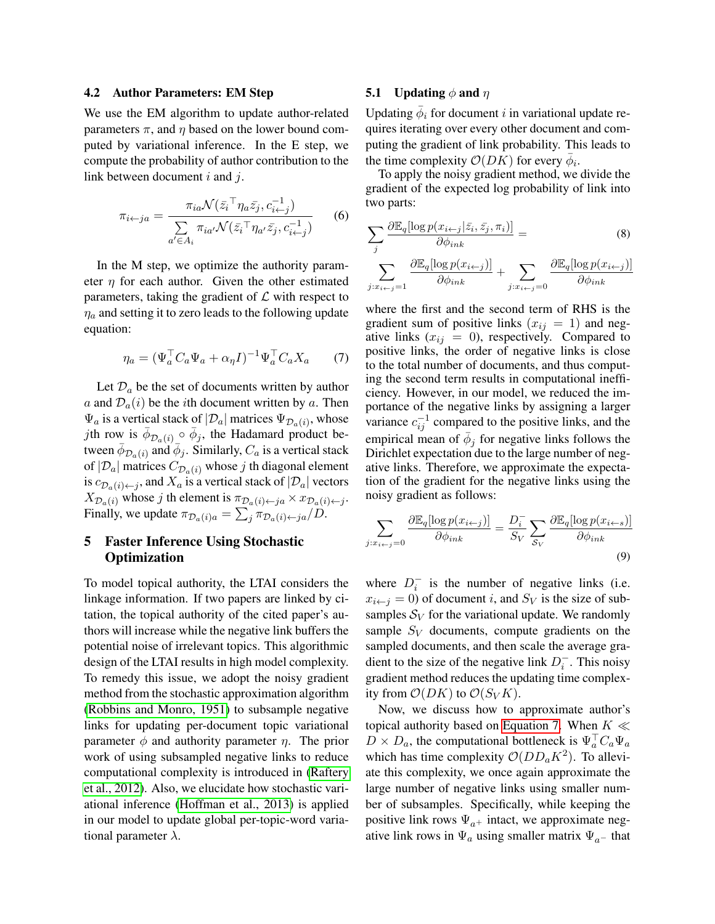# 4.2 Author Parameters: EM Step

We use the EM algorithm to update author-related parameters  $\pi$ , and  $\eta$  based on the lower bound computed by variational inference. In the E step, we compute the probability of author contribution to the link between document  $i$  and  $j$ .

$$
\pi_{i \leftarrow ja} = \frac{\pi_{ia} \mathcal{N}(\bar{z}_i^\top \eta_a \bar{z}_j, c_{i \leftarrow j}^{-1})}{\sum_{a' \in A_i} \pi_{ia'} \mathcal{N}(\bar{z}_i^\top \eta_{a'} \bar{z}_j, c_{i \leftarrow j}^{-1})}
$$
(6)

In the M step, we optimize the authority parameter  $\eta$  for each author. Given the other estimated parameters, taking the gradient of  $\mathcal L$  with respect to  $\eta_a$  and setting it to zero leads to the following update equation:

$$
\eta_a = (\Psi_a^\top C_a \Psi_a + \alpha_\eta I)^{-1} \Psi_a^\top C_a X_a \qquad (7)
$$

Let  $\mathcal{D}_a$  be the set of documents written by author a and  $\mathcal{D}_a(i)$  be the *i*th document written by a. Then  $\Psi_a$  is a vertical stack of  $|\mathcal{D}_a|$  matrices  $\Psi_{\mathcal{D}_a(i)},$  whose *j*th row is  $\bar{\phi}_{\mathcal{D}_a(i)} \circ \bar{\phi}_j$ , the Hadamard product between  $\bar{\phi}_{\mathcal{D}_a(i)}$  and  $\bar{\phi}_j$ . Similarly,  $C_a$  is a vertical stack of  $|\mathcal{D}_a|$  matrices  $C_{\mathcal{D}_a(i)}$  whose j th diagonal element is  $c_{\mathcal{D}_a(i) \leftarrow j}$ , and  $X_a$  is a vertical stack of  $|\mathcal{D}_a|$  vectors  $X_{\mathcal{D}_a(i)}$  whose j th element is  $\pi_{\mathcal{D}_a(i) \leftarrow j} X_{\mathcal{D}_a(i) \leftarrow j}$ . Finally, we update  $\pi_{\mathcal{D}_a(i)a} = \sum_j \pi_{\mathcal{D}_a(i) \leftarrow ja} / D$ .

# <span id="page-5-0"></span>5 Faster Inference Using Stochastic Optimization

To model topical authority, the LTAI considers the linkage information. If two papers are linked by citation, the topical authority of the cited paper's authors will increase while the negative link buffers the potential noise of irrelevant topics. This algorithmic design of the LTAI results in high model complexity. To remedy this issue, we adopt the noisy gradient method from the stochastic approximation algorithm [\(Robbins and Monro, 1951\)](#page-13-8) to subsample negative links for updating per-document topic variational parameter  $\phi$  and authority parameter  $\eta$ . The prior work of using subsampled negative links to reduce computational complexity is introduced in [\(Raftery](#page-13-9) [et al., 2012\)](#page-13-9). Also, we elucidate how stochastic variational inference [\(Hoffman et al., 2013\)](#page-12-21) is applied in our model to update global per-topic-word variational parameter  $\lambda$ .

#### **5.1** Updating  $\phi$  and  $\eta$

Updating  $\bar{\phi}_i$  for document *i* in variational update requires iterating over every other document and computing the gradient of link probability. This leads to the time complexity  $\mathcal{O}(D\tilde{K})$  for every  $\bar{\phi}_i$ .

To apply the noisy gradient method, we divide the gradient of the expected log probability of link into two parts:

$$
\sum_{j} \frac{\partial \mathbb{E}_{q}[\log p(x_{i \leftarrow j}|\bar{z}_{i}, \bar{z}_{j}, \pi_{i})]}{\partial \phi_{ink}} =
$$
\n(8)

$$
\sum_{j:x_{i\leftarrow j}=1} \frac{\partial \mathbb{E}_q[\log p(x_{i\leftarrow j})]}{\partial \phi_{ink}} + \sum_{j:x_{i\leftarrow j}=0} \frac{\partial \mathbb{E}_q[\log p(x_{i\leftarrow j})]}{\partial \phi_{ink}}
$$

<span id="page-5-2"></span>where the first and the second term of RHS is the gradient sum of positive links  $(x_{ij} = 1)$  and negative links  $(x_{ij} = 0)$ , respectively. Compared to positive links, the order of negative links is close to the total number of documents, and thus computing the second term results in computational inefficiency. However, in our model, we reduced the importance of the negative links by assigning a larger variance  $c_{ij}^{-1}$  compared to the positive links, and the empirical mean of  $\bar{\phi}_j$  for negative links follows the Dirichlet expectation due to the large number of negative links. Therefore, we approximate the expectation of the gradient for the negative links using the noisy gradient as follows:

<span id="page-5-1"></span>
$$
\sum_{j:x_{i\leftarrow j}=0} \frac{\partial \mathbb{E}_q[\log p(x_{i\leftarrow j})]}{\partial \phi_{ink}} = \frac{D_i^-}{S_V} \sum_{\mathcal{S}_V} \frac{\partial \mathbb{E}_q[\log p(x_{i\leftarrow s})]}{\partial \phi_{ink}} \tag{9}
$$

where  $D_i^-$  is the number of negative links (i.e.  $x_{i \leftarrow j} = 0$ ) of document i, and  $S_V$  is the size of subsamples  $S_V$  for the variational update. We randomly sample  $S_V$  documents, compute gradients on the sampled documents, and then scale the average gradient to the size of the negative link  $D_i^-$ . This noisy gradient method reduces the updating time complexity from  $\mathcal{O}(DK)$  to  $\mathcal{O}(S_V K)$ .

Now, we discuss how to approximate author's topical authority based on [Equation 7.](#page-5-2) When  $K \ll$  $D \times D_a$ , the computational bottleneck is  $\Psi_a^{\top} C_a \Psi_a$ which has time complexity  $\mathcal{O}(DD_a K^2)$ . To alleviate this complexity, we once again approximate the large number of negative links using smaller number of subsamples. Specifically, while keeping the positive link rows  $\Psi_{a+}$  intact, we approximate negative link rows in  $\Psi_a$  using smaller matrix  $\Psi_{a-}$  that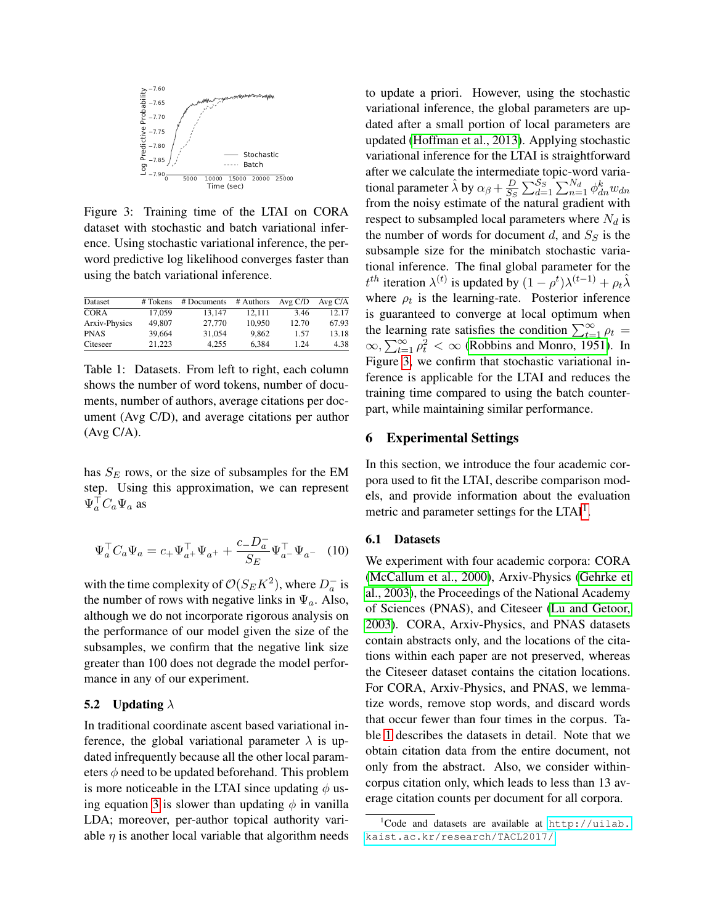<span id="page-6-2"></span>

Figure 3: Training time of the LTAI on CORA dataset with stochastic and batch variational inference. Using stochastic variational inference, the perword predictive log likelihood converges faster than using the batch variational inference.

<span id="page-6-4"></span>

| Dataset       | # Tokens | # Documents | # Authors | Avg C/D | Avg C/A |
|---------------|----------|-------------|-----------|---------|---------|
| <b>CORA</b>   | 17.059   | 13.147      | 12.111    | 3.46    | 12.17   |
| Arxiv-Physics | 49,807   | 27,770      | 10.950    | 12.70   | 67.93   |
| <b>PNAS</b>   | 39.664   | 31.054      | 9.862     | 1.57    | 13.18   |
| Citeseer      | 21,223   | 4.255       | 6.384     | 1.24    | 4.38    |

Table 1: Datasets. From left to right, each column shows the number of word tokens, number of documents, number of authors, average citations per document (Avg C/D), and average citations per author  $(Avg C/A)$ .

has  $S_E$  rows, or the size of subsamples for the EM step. Using this approximation, we can represent  $\Psi_a^{\top} C_a \Psi_a$  as

$$
\Psi_a^{\top} C_a \Psi_a = c_+ \Psi_{a^+}^{\top} \Psi_{a^+} + \frac{c_- D_a^-}{S_E} \Psi_{a^-}^{\top} \Psi_{a^-}
$$
 (10)

with the time complexity of  $\mathcal{O}(S_E K^2)$ , where  $D_a^-$  is the number of rows with negative links in  $\Psi_a$ . Also, although we do not incorporate rigorous analysis on the performance of our model given the size of the subsamples, we confirm that the negative link size greater than 100 does not degrade the model performance in any of our experiment.

#### 5.2 Updating  $\lambda$

In traditional coordinate ascent based variational inference, the global variational parameter  $\lambda$  is updated infrequently because all the other local parameters  $\phi$  need to be updated beforehand. This problem is more noticeable in the LTAI since updating  $\phi$  us-ing equation [3](#page-4-3) is slower than updating  $\phi$  in vanilla LDA; moreover, per-author topical authority variable  $\eta$  is another local variable that algorithm needs to update a priori. However, using the stochastic variational inference, the global parameters are updated after a small portion of local parameters are updated [\(Hoffman et al., 2013\)](#page-12-21). Applying stochastic variational inference for the LTAI is straightforward after we calculate the intermediate topic-word variational parameter  $\hat{\lambda}$  by  $\alpha_{\beta} + \frac{D}{S_{\beta}}$  $\frac{D}{S_S}\sum_{d=1}^{S_S}\sum_{n=1}^{N_d}\phi^k_{dn}w_{dn}$ from the noisy estimate of the natural gradient with respect to subsampled local parameters where  $N_d$  is the number of words for document d, and  $S<sub>S</sub>$  is the subsample size for the minibatch stochastic variational inference. The final global parameter for the  $t^{th}$  iteration  $\lambda^{(t)}$  is updated by  $(1 - \rho^t)\lambda^{(t-1)} + \rho_t\hat{\lambda}$ where  $\rho_t$  is the learning-rate. Posterior inference is guaranteed to converge at local optimum when the learning rate satisfies the condition  $\sum_{t=1}^{\infty} \rho_t =$  $\infty, \sum_{t=1}^{\infty} \rho_t^2 < \infty$  [\(Robbins and Monro, 1951\)](#page-13-8). In Figure [3,](#page-6-2) we confirm that stochastic variational inference is applicable for the LTAI and reduces the training time compared to using the batch counterpart, while maintaining similar performance.

#### <span id="page-6-0"></span>6 Experimental Settings

In this section, we introduce the four academic corpora used to fit the LTAI, describe comparison models, and provide information about the evaluation metric and parameter settings for the LTAI<sup>[1](#page-6-3)</sup>.

#### <span id="page-6-1"></span>6.1 Datasets

We experiment with four academic corpora: CORA [\(McCallum et al., 2000\)](#page-12-22), Arxiv-Physics [\(Gehrke et](#page-12-23) [al., 2003\)](#page-12-23), the Proceedings of the National Academy of Sciences (PNAS), and Citeseer [\(Lu and Getoor,](#page-12-24) [2003\)](#page-12-24). CORA, Arxiv-Physics, and PNAS datasets contain abstracts only, and the locations of the citations within each paper are not preserved, whereas the Citeseer dataset contains the citation locations. For CORA, Arxiv-Physics, and PNAS, we lemmatize words, remove stop words, and discard words that occur fewer than four times in the corpus. Table [1](#page-6-4) describes the datasets in detail. Note that we obtain citation data from the entire document, not only from the abstract. Also, we consider withincorpus citation only, which leads to less than 13 average citation counts per document for all corpora.

<span id="page-6-3"></span> $1$ Code and datasets are available at [http://uilab.](http://uilab.kaist.ac.kr/research/TACL2017/) [kaist.ac.kr/research/TACL2017/](http://uilab.kaist.ac.kr/research/TACL2017/)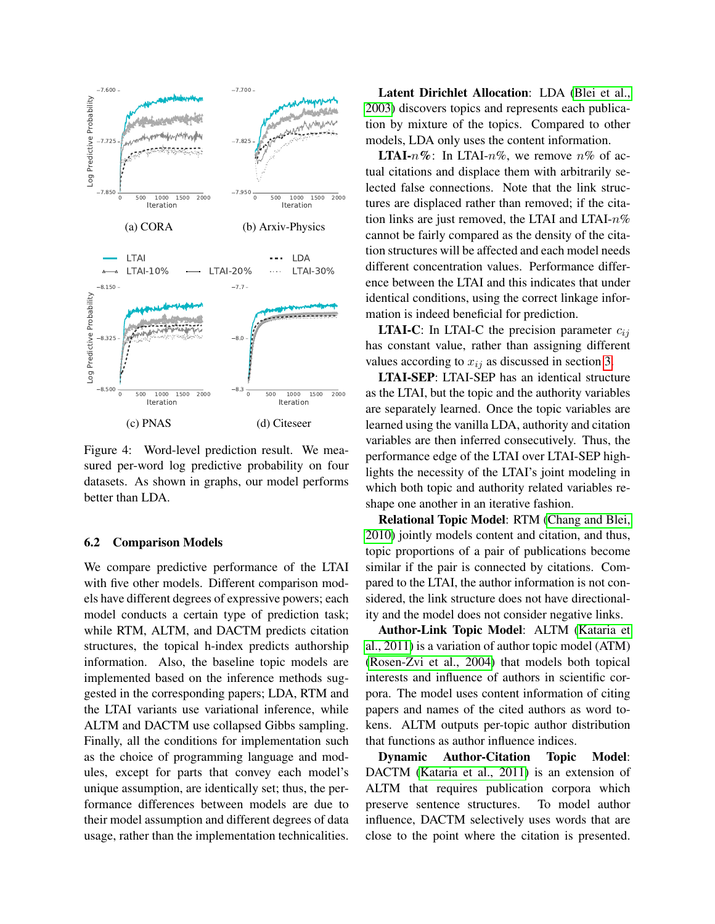<span id="page-7-0"></span>

Figure 4: Word-level prediction result. We measured per-word log predictive probability on four datasets. As shown in graphs, our model performs better than LDA.

#### 6.2 Comparison Models

We compare predictive performance of the LTAI with five other models. Different comparison models have different degrees of expressive powers; each model conducts a certain type of prediction task; while RTM, ALTM, and DACTM predicts citation structures, the topical h-index predicts authorship information. Also, the baseline topic models are implemented based on the inference methods suggested in the corresponding papers; LDA, RTM and the LTAI variants use variational inference, while ALTM and DACTM use collapsed Gibbs sampling. Finally, all the conditions for implementation such as the choice of programming language and modules, except for parts that convey each model's unique assumption, are identically set; thus, the performance differences between models are due to their model assumption and different degrees of data usage, rather than the implementation technicalities.

Latent Dirichlet Allocation: LDA [\(Blei et al.,](#page-12-2) [2003\)](#page-12-2) discovers topics and represents each publication by mixture of the topics. Compared to other models, LDA only uses the content information.

**LTAI-** $n\%$ : In LTAI- $n\%$ , we remove  $n\%$  of actual citations and displace them with arbitrarily selected false connections. Note that the link structures are displaced rather than removed; if the citation links are just removed, the LTAI and LTAI- $n\%$ cannot be fairly compared as the density of the citation structures will be affected and each model needs different concentration values. Performance difference between the LTAI and this indicates that under identical conditions, using the correct linkage information is indeed beneficial for prediction.

**LTAI-C:** In LTAI-C the precision parameter  $c_{ij}$ has constant value, rather than assigning different values according to  $x_{ij}$  as discussed in section [3.](#page-2-0)

LTAI-SEP: LTAI-SEP has an identical structure as the LTAI, but the topic and the authority variables are separately learned. Once the topic variables are learned using the vanilla LDA, authority and citation variables are then inferred consecutively. Thus, the performance edge of the LTAI over LTAI-SEP highlights the necessity of the LTAI's joint modeling in which both topic and authority related variables reshape one another in an iterative fashion.

Relational Topic Model: RTM [\(Chang and Blei,](#page-12-3) [2010\)](#page-12-3) jointly models content and citation, and thus, topic proportions of a pair of publications become similar if the pair is connected by citations. Compared to the LTAI, the author information is not considered, the link structure does not have directionality and the model does not consider negative links.

Author-Link Topic Model: ALTM [\(Kataria et](#page-12-4) [al., 2011\)](#page-12-4) is a variation of author topic model (ATM) [\(Rosen-Zvi et al., 2004\)](#page-13-10) that models both topical interests and influence of authors in scientific corpora. The model uses content information of citing papers and names of the cited authors as word tokens. ALTM outputs per-topic author distribution that functions as author influence indices.

Dynamic Author-Citation Topic Model: DACTM [\(Kataria et al., 2011\)](#page-12-4) is an extension of ALTM that requires publication corpora which preserve sentence structures. To model author influence, DACTM selectively uses words that are close to the point where the citation is presented.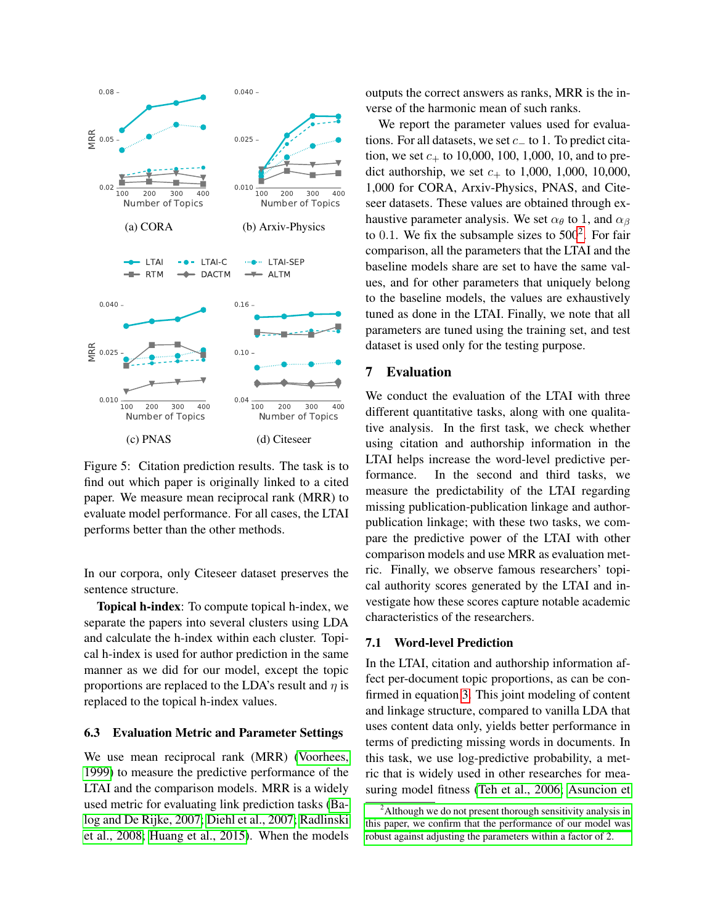<span id="page-8-2"></span>

Figure 5: Citation prediction results. The task is to find out which paper is originally linked to a cited paper. We measure mean reciprocal rank (MRR) to evaluate model performance. For all cases, the LTAI performs better than the other methods.

In our corpora, only Citeseer dataset preserves the sentence structure.

Topical h-index: To compute topical h-index, we separate the papers into several clusters using LDA and calculate the h-index within each cluster. Topical h-index is used for author prediction in the same manner as we did for our model, except the topic proportions are replaced to the LDA's result and  $\eta$  is replaced to the topical h-index values.

#### 6.3 Evaluation Metric and Parameter Settings

We use mean reciprocal rank (MRR) [\(Voorhees,](#page-13-11) [1999\)](#page-13-11) to measure the predictive performance of the LTAI and the comparison models. MRR is a widely used metric for evaluating link prediction tasks [\(Ba](#page-12-25)[log and De Rijke, 2007;](#page-12-25) [Diehl et al., 2007;](#page-12-26) [Radlinski](#page-13-12) [et al., 2008;](#page-13-12) [Huang et al., 2015\)](#page-12-6). When the models outputs the correct answers as ranks, MRR is the inverse of the harmonic mean of such ranks.

We report the parameter values used for evaluations. For all datasets, we set  $c_$  to 1. To predict citation, we set  $c_{+}$  to 10,000, 100, 1,000, 10, and to predict authorship, we set  $c_+$  to 1,000, 1,000, 10,000, 1,000 for CORA, Arxiv-Physics, PNAS, and Citeseer datasets. These values are obtained through exhaustive parameter analysis. We set  $\alpha_{\theta}$  to 1, and  $\alpha_{\beta}$ to 0.1. We fix the subsample sizes to  $500<sup>2</sup>$  $500<sup>2</sup>$  $500<sup>2</sup>$ . For fair comparison, all the parameters that the LTAI and the baseline models share are set to have the same values, and for other parameters that uniquely belong to the baseline models, the values are exhaustively tuned as done in the LTAI. Finally, we note that all parameters are tuned using the training set, and test dataset is used only for the testing purpose.

# <span id="page-8-0"></span>7 Evaluation

We conduct the evaluation of the LTAI with three different quantitative tasks, along with one qualitative analysis. In the first task, we check whether using citation and authorship information in the LTAI helps increase the word-level predictive performance. In the second and third tasks, we measure the predictability of the LTAI regarding missing publication-publication linkage and authorpublication linkage; with these two tasks, we compare the predictive power of the LTAI with other comparison models and use MRR as evaluation metric. Finally, we observe famous researchers' topical authority scores generated by the LTAI and investigate how these scores capture notable academic characteristics of the researchers.

### 7.1 Word-level Prediction

In the LTAI, citation and authorship information affect per-document topic proportions, as can be confirmed in equation [3.](#page-4-3) This joint modeling of content and linkage structure, compared to vanilla LDA that uses content data only, yields better performance in terms of predicting missing words in documents. In this task, we use log-predictive probability, a metric that is widely used in other researches for measuring model fitness [\(Teh et al., 2006;](#page-13-13) [Asuncion et](#page-12-27)

<span id="page-8-1"></span> $2$ [Although we do not present thorough sensitivity analysis in](#page-12-27) [this paper, we confirm that the performance of our model was](#page-12-27) [robust against adjusting the parameters within a factor of 2.](#page-12-27)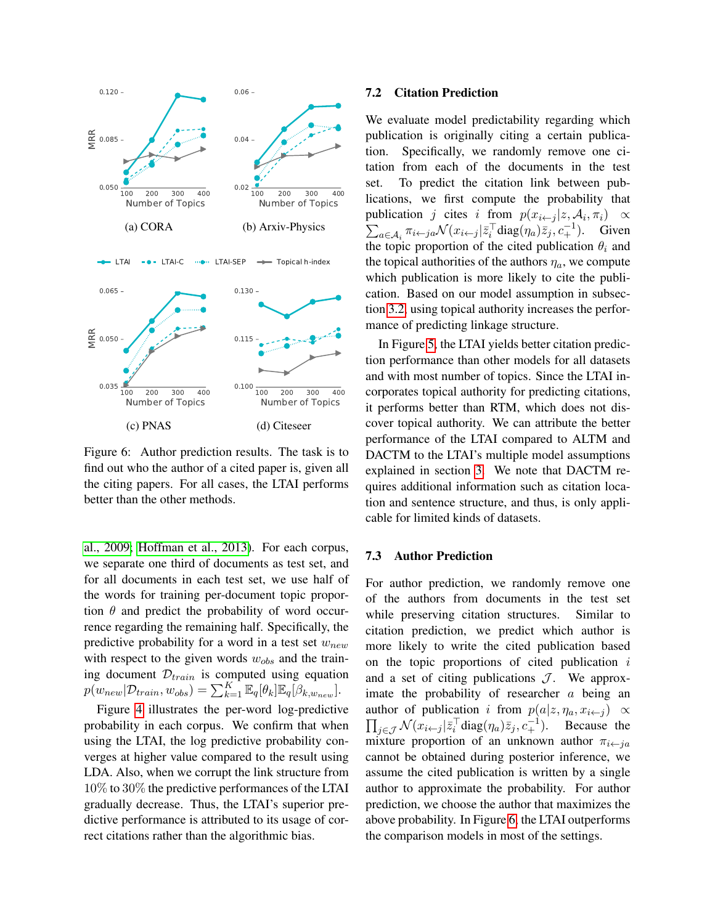<span id="page-9-0"></span>

Figure 6: Author prediction results. The task is to find out who the author of a cited paper is, given all the citing papers. For all cases, the LTAI performs better than the other methods.

[al., 2009;](#page-12-27) [Hoffman et al., 2013\)](#page-12-21). For each corpus, we separate one third of documents as test set, and for all documents in each test set, we use half of the words for training per-document topic proportion  $\theta$  and predict the probability of word occurrence regarding the remaining half. Specifically, the predictive probability for a word in a test set  $w_{new}$ with respect to the given words  $w_{obs}$  and the training document  $\mathcal{D}_{train}$  is computed using equation  $p(w_{new}|\mathcal{D}_{train}, w_{obs}) = \sum_{k=1}^{K} \mathbb{E}_q[\theta_k] \mathbb{E}_q[\beta_{k,w_{new}}].$ 

Figure [4](#page-7-0) illustrates the per-word log-predictive probability in each corpus. We confirm that when using the LTAI, the log predictive probability converges at higher value compared to the result using LDA. Also, when we corrupt the link structure from 10% to 30% the predictive performances of the LTAI gradually decrease. Thus, the LTAI's superior predictive performance is attributed to its usage of correct citations rather than the algorithmic bias.

## 7.2 Citation Prediction

We evaluate model predictability regarding which publication is originally citing a certain publication. Specifically, we randomly remove one citation from each of the documents in the test set. To predict the citation link between publications, we first compute the probability that publication *j* cites *i* from  $p(x_{i \leftarrow j} | z, A_i, \pi_i) \propto$  $\sum_{a \in \mathcal{A}_i} \pi_{i \leftarrow ja} \mathcal{N}(x_{i \leftarrow j} | \bar{z}_i^{\top} \text{diag}(\eta_a) \bar{z}_j, c_+^{-1}).$  Given the topic proportion of the cited publication  $\theta_i$  and the topical authorities of the authors  $\eta_a$ , we compute which publication is more likely to cite the publication. Based on our model assumption in subsection [3.2,](#page-2-2) using topical authority increases the performance of predicting linkage structure.

In Figure [5,](#page-8-2) the LTAI yields better citation prediction performance than other models for all datasets and with most number of topics. Since the LTAI incorporates topical authority for predicting citations, it performs better than RTM, which does not discover topical authority. We can attribute the better performance of the LTAI compared to ALTM and DACTM to the LTAI's multiple model assumptions explained in section [3.](#page-2-0) We note that DACTM requires additional information such as citation location and sentence structure, and thus, is only applicable for limited kinds of datasets.

#### 7.3 Author Prediction

For author prediction, we randomly remove one of the authors from documents in the test set while preserving citation structures. Similar to citation prediction, we predict which author is more likely to write the cited publication based on the topic proportions of cited publication  $i$ and a set of citing publications  $\mathcal{J}$ . We approximate the probability of researcher  $a$  being an author of publication i from  $p(a|z, \eta_a, x_{i \leftarrow j}) \propto$  $\prod_{j \in \mathcal{J}} \mathcal{N}(x_{i \leftarrow j} | \bar{z}_i^\top \text{diag}(\eta_a) \bar{z}_j, c_+^{-1}).$  Because the mixture proportion of an unknown author  $\pi_{i \leftarrow ja}$ cannot be obtained during posterior inference, we assume the cited publication is written by a single author to approximate the probability. For author prediction, we choose the author that maximizes the above probability. In Figure [6,](#page-9-0) the LTAI outperforms the comparison models in most of the settings.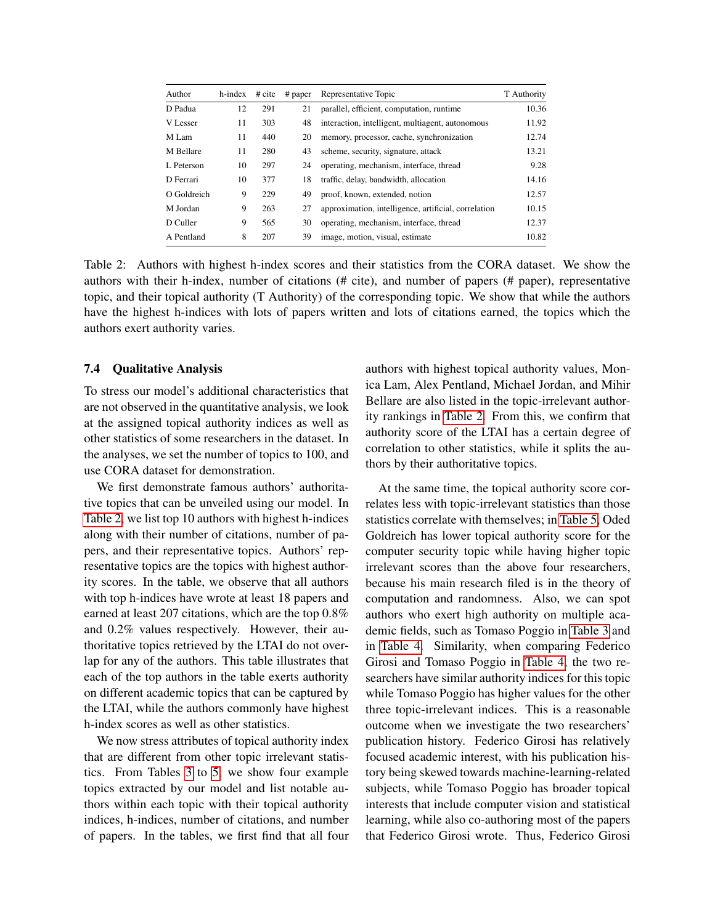<span id="page-10-0"></span>

| Author      | h-index | $#$ cite | $#$ paper | Representative Topic                                 | T Authority |
|-------------|---------|----------|-----------|------------------------------------------------------|-------------|
| D Padua     | 12      | 291      | 21        | parallel, efficient, computation, runtime            | 10.36       |
| V Lesser    | 11      | 303      | 48        | interaction, intelligent, multiagent, autonomous     | 11.92       |
| M Lam       | 11      | 440      | 20        | memory, processor, cache, synchronization            | 12.74       |
| M Bellare   | 11      | 280      | 43        | scheme, security, signature, attack                  | 13.21       |
| L. Peterson | 10      | 297      | 24        | operating, mechanism, interface, thread              | 9.28        |
| D Ferrari   | 10      | 377      | 18        | traffic, delay, bandwidth, allocation                | 14.16       |
| O Goldreich | 9       | 229      | 49        | proof, known, extended, notion                       | 12.57       |
| M Jordan    | 9       | 263      | 27        | approximation, intelligence, artificial, correlation | 10.15       |
| D Culler    | 9       | 565      | 30        | operating, mechanism, interface, thread              | 12.37       |
| A Pentland  | 8       | 207      | 39        | image, motion, visual, estimate                      | 10.82       |

Table 2: Authors with highest h-index scores and their statistics from the CORA dataset. We show the authors with their h-index, number of citations (# cite), and number of papers (# paper), representative topic, and their topical authority (T Authority) of the corresponding topic. We show that while the authors have the highest h-indices with lots of papers written and lots of citations earned, the topics which the authors exert authority varies.

# 7.4 Qualitative Analysis

To stress our model's additional characteristics that are not observed in the quantitative analysis, we look at the assigned topical authority indices as well as other statistics of some researchers in the dataset. In the analyses, we set the number of topics to 100, and use CORA dataset for demonstration.

We first demonstrate famous authors' authoritative topics that can be unveiled using our model. In [Table 2,](#page-10-0) we list top 10 authors with highest h-indices along with their number of citations, number of papers, and their representative topics. Authors' representative topics are the topics with highest authority scores. In the table, we observe that all authors with top h-indices have wrote at least 18 papers and earned at least 207 citations, which are the top 0.8% and 0.2% values respectively. However, their authoritative topics retrieved by the LTAI do not overlap for any of the authors. This table illustrates that each of the top authors in the table exerts authority on different academic topics that can be captured by the LTAI, while the authors commonly have highest h-index scores as well as other statistics.

We now stress attributes of topical authority index that are different from other topic irrelevant statistics. From Tables [3](#page-11-0) to [5,](#page-11-1) we show four example topics extracted by our model and list notable authors within each topic with their topical authority indices, h-indices, number of citations, and number of papers. In the tables, we first find that all four authors with highest topical authority values, Monica Lam, Alex Pentland, Michael Jordan, and Mihir Bellare are also listed in the topic-irrelevant authority rankings in [Table 2.](#page-10-0) From this, we confirm that authority score of the LTAI has a certain degree of correlation to other statistics, while it splits the authors by their authoritative topics.

At the same time, the topical authority score correlates less with topic-irrelevant statistics than those statistics correlate with themselves; in [Table 5,](#page-11-1) Oded Goldreich has lower topical authority score for the computer security topic while having higher topic irrelevant scores than the above four researchers, because his main research filed is in the theory of computation and randomness. Also, we can spot authors who exert high authority on multiple academic fields, such as Tomaso Poggio in [Table 3](#page-11-0) and in [Table 4.](#page-11-2) Similarity, when comparing Federico Girosi and Tomaso Poggio in [Table 4,](#page-11-2) the two researchers have similar authority indices for this topic while Tomaso Poggio has higher values for the other three topic-irrelevant indices. This is a reasonable outcome when we investigate the two researchers' publication history. Federico Girosi has relatively focused academic interest, with his publication history being skewed towards machine-learning-related subjects, while Tomaso Poggio has broader topical interests that include computer vision and statistical learning, while also co-authoring most of the papers that Federico Girosi wrote. Thus, Federico Girosi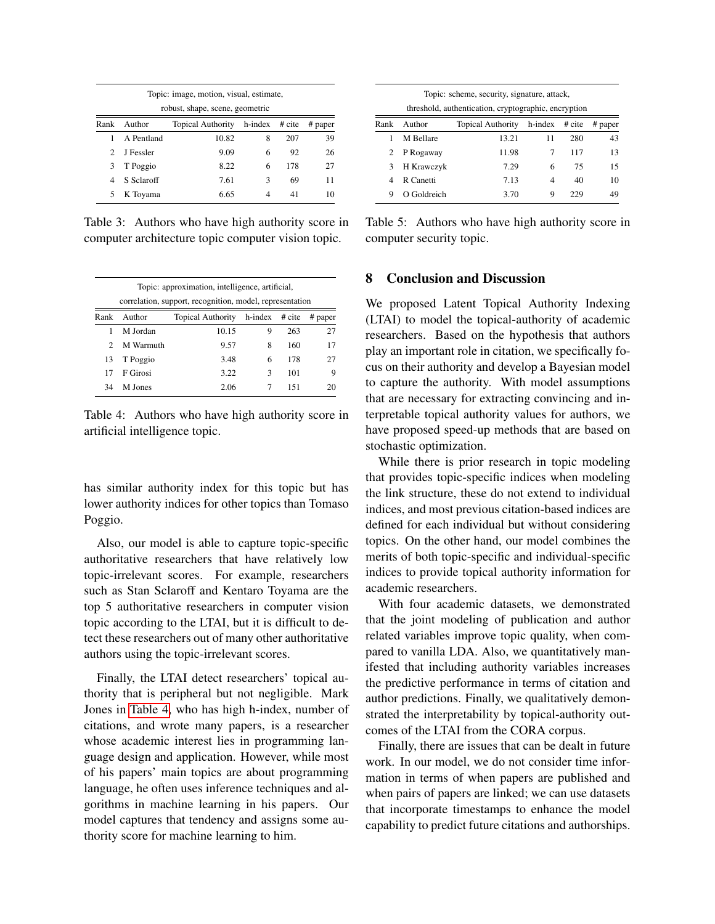<span id="page-11-0"></span>

| Topic: image, motion, visual, estimate, |            |                          |         |        |         |  |  |
|-----------------------------------------|------------|--------------------------|---------|--------|---------|--|--|
| robust, shape, scene, geometric         |            |                          |         |        |         |  |  |
| Rank                                    | Author     | <b>Topical Authority</b> | h-index | # cite | # paper |  |  |
|                                         | A Pentland | 10.82                    | 8       | 207    | 39      |  |  |
| $\mathcal{D}$                           | I Fessler  | 9.09                     | 6       | 92     | 26      |  |  |
| 3                                       | T Poggio   | 8.22                     | 6       | 178    | 27      |  |  |
| 4                                       | S Sclaroff | 7.61                     | 3       | 69     | 11      |  |  |
|                                         | K Toyama   | 6.65                     | 4       | 41     | 10      |  |  |

Table 3: Authors who have high authority score in computer architecture topic computer vision topic.

<span id="page-11-2"></span>

| Topic: approximation, intelligence, artificial, |           |                                                          |                   |     |         |  |
|-------------------------------------------------|-----------|----------------------------------------------------------|-------------------|-----|---------|--|
|                                                 |           | correlation, support, recognition, model, representation |                   |     |         |  |
| Rank                                            | Author    | <b>Topical Authority</b>                                 | $h$ -index # cite |     | # paper |  |
|                                                 | M Jordan  | 10.15                                                    | 9                 | 263 | 27      |  |
| 2                                               | M Warmuth | 9.57                                                     | 8                 | 160 | 17      |  |
| 13                                              | T Poggio  | 3.48                                                     | 6                 | 178 | 27      |  |
| 17                                              | F Girosi  | 3.22                                                     | 3                 | 101 | 9       |  |
| 34                                              | M Iones   | 2.06                                                     | 7                 | 151 | 20      |  |

Table 4: Authors who have high authority score in artificial intelligence topic.

has similar authority index for this topic but has lower authority indices for other topics than Tomaso Poggio.

Also, our model is able to capture topic-specific authoritative researchers that have relatively low topic-irrelevant scores. For example, researchers such as Stan Sclaroff and Kentaro Toyama are the top 5 authoritative researchers in computer vision topic according to the LTAI, but it is difficult to detect these researchers out of many other authoritative authors using the topic-irrelevant scores.

Finally, the LTAI detect researchers' topical authority that is peripheral but not negligible. Mark Jones in [Table 4,](#page-11-2) who has high h-index, number of citations, and wrote many papers, is a researcher whose academic interest lies in programming language design and application. However, while most of his papers' main topics are about programming language, he often uses inference techniques and algorithms in machine learning in his papers. Our model captures that tendency and assigns some authority score for machine learning to him.

<span id="page-11-1"></span>

| Topic: scheme, security, signature, attack,          |             |                          |                      |     |         |  |
|------------------------------------------------------|-------------|--------------------------|----------------------|-----|---------|--|
| threshold, authentication, cryptographic, encryption |             |                          |                      |     |         |  |
| Rank                                                 | Author      | <b>Topical Authority</b> | $h$ -index $\#$ cite |     | # paper |  |
|                                                      | M Bellare   | 13.21                    | 11                   | 280 | 43      |  |
| 2                                                    | P Rogaway   | 11.98                    | 7                    | 117 | 13      |  |
| 3                                                    | H Krawczyk  | 7.29                     | 6                    | 75  | 15      |  |
|                                                      | R Canetti   | 7.13                     | 4                    | 40  | 10      |  |
| 9                                                    | O Goldreich | 3.70                     | 9                    | 229 | 49      |  |

Table 5: Authors who have high authority score in computer security topic.

# 8 Conclusion and Discussion

We proposed Latent Topical Authority Indexing (LTAI) to model the topical-authority of academic researchers. Based on the hypothesis that authors play an important role in citation, we specifically focus on their authority and develop a Bayesian model to capture the authority. With model assumptions that are necessary for extracting convincing and interpretable topical authority values for authors, we have proposed speed-up methods that are based on stochastic optimization.

While there is prior research in topic modeling that provides topic-specific indices when modeling the link structure, these do not extend to individual indices, and most previous citation-based indices are defined for each individual but without considering topics. On the other hand, our model combines the merits of both topic-specific and individual-specific indices to provide topical authority information for academic researchers.

With four academic datasets, we demonstrated that the joint modeling of publication and author related variables improve topic quality, when compared to vanilla LDA. Also, we quantitatively manifested that including authority variables increases the predictive performance in terms of citation and author predictions. Finally, we qualitatively demonstrated the interpretability by topical-authority outcomes of the LTAI from the CORA corpus.

Finally, there are issues that can be dealt in future work. In our model, we do not consider time information in terms of when papers are published and when pairs of papers are linked; we can use datasets that incorporate timestamps to enhance the model capability to predict future citations and authorships.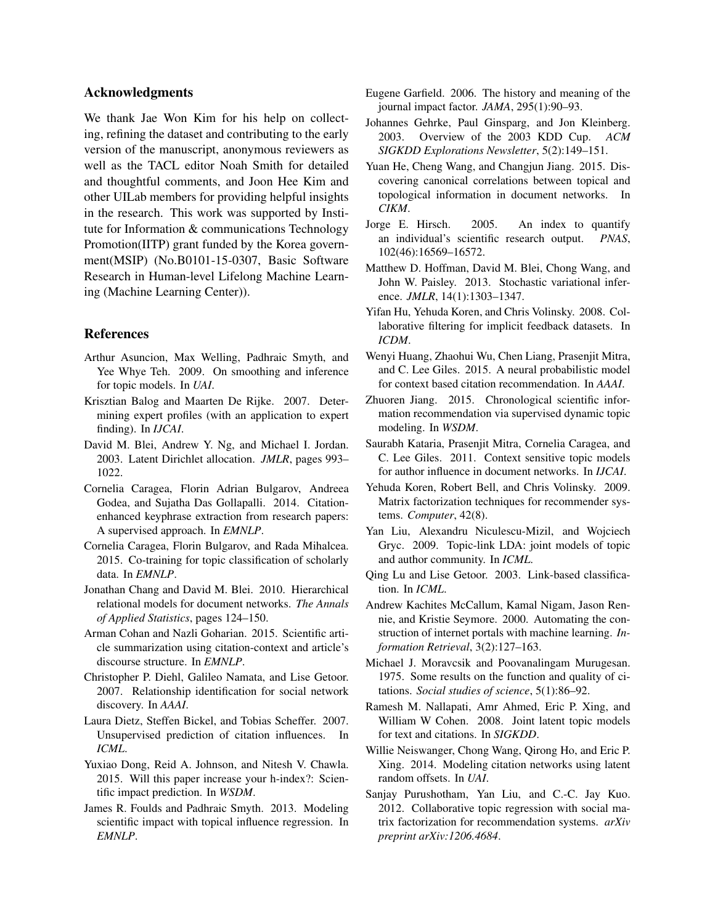# Acknowledgments

We thank Jae Won Kim for his help on collecting, refining the dataset and contributing to the early version of the manuscript, anonymous reviewers as well as the TACL editor Noah Smith for detailed and thoughtful comments, and Joon Hee Kim and other UILab members for providing helpful insights in the research. This work was supported by Institute for Information & communications Technology Promotion(IITP) grant funded by the Korea government(MSIP) (No.B0101-15-0307, Basic Software Research in Human-level Lifelong Machine Learning (Machine Learning Center)).

## References

- <span id="page-12-27"></span>Arthur Asuncion, Max Welling, Padhraic Smyth, and Yee Whye Teh. 2009. On smoothing and inference for topic models. In *UAI*.
- <span id="page-12-25"></span>Krisztian Balog and Maarten De Rijke. 2007. Determining expert profiles (with an application to expert finding). In *IJCAI*.
- <span id="page-12-2"></span>David M. Blei, Andrew Y. Ng, and Michael I. Jordan. 2003. Latent Dirichlet allocation. *JMLR*, pages 993– 1022.
- <span id="page-12-10"></span>Cornelia Caragea, Florin Adrian Bulgarov, Andreea Godea, and Sujatha Das Gollapalli. 2014. Citationenhanced keyphrase extraction from research papers: A supervised approach. In *EMNLP*.
- <span id="page-12-5"></span>Cornelia Caragea, Florin Bulgarov, and Rada Mihalcea. 2015. Co-training for topic classification of scholarly data. In *EMNLP*.
- <span id="page-12-3"></span>Jonathan Chang and David M. Blei. 2010. Hierarchical relational models for document networks. *The Annals of Applied Statistics*, pages 124–150.
- <span id="page-12-9"></span>Arman Cohan and Nazli Goharian. 2015. Scientific article summarization using citation-context and article's discourse structure. In *EMNLP*.
- <span id="page-12-26"></span>Christopher P. Diehl, Galileo Namata, and Lise Getoor. 2007. Relationship identification for social network discovery. In *AAAI*.
- <span id="page-12-14"></span>Laura Dietz, Steffen Bickel, and Tobias Scheffer. 2007. Unsupervised prediction of citation influences. In *ICML*.
- <span id="page-12-12"></span>Yuxiao Dong, Reid A. Johnson, and Nitesh V. Chawla. 2015. Will this paper increase your h-index?: Scientific impact prediction. In *WSDM*.
- <span id="page-12-15"></span>James R. Foulds and Padhraic Smyth. 2013. Modeling scientific impact with topical influence regression. In *EMNLP*.
- <span id="page-12-1"></span>Eugene Garfield. 2006. The history and meaning of the journal impact factor. *JAMA*, 295(1):90–93.
- <span id="page-12-23"></span>Johannes Gehrke, Paul Ginsparg, and Jon Kleinberg. 2003. Overview of the 2003 KDD Cup. *ACM SIGKDD Explorations Newsletter*, 5(2):149–151.
- <span id="page-12-11"></span>Yuan He, Cheng Wang, and Changjun Jiang. 2015. Discovering canonical correlations between topical and topological information in document networks. In *CIKM*.
- <span id="page-12-0"></span>Jorge E. Hirsch. 2005. An index to quantify an individual's scientific research output. *PNAS*, 102(46):16569–16572.
- <span id="page-12-21"></span>Matthew D. Hoffman, David M. Blei, Chong Wang, and John W. Paisley. 2013. Stochastic variational inference. *JMLR*, 14(1):1303–1347.
- <span id="page-12-19"></span>Yifan Hu, Yehuda Koren, and Chris Volinsky. 2008. Collaborative filtering for implicit feedback datasets. In *ICDM*.
- <span id="page-12-6"></span>Wenyi Huang, Zhaohui Wu, Chen Liang, Prasenjit Mitra, and C. Lee Giles. 2015. A neural probabilistic model for context based citation recommendation. In *AAAI*.
- <span id="page-12-8"></span>Zhuoren Jiang. 2015. Chronological scientific information recommendation via supervised dynamic topic modeling. In *WSDM*.
- <span id="page-12-4"></span>Saurabh Kataria, Prasenjit Mitra, Cornelia Caragea, and C. Lee Giles. 2011. Context sensitive topic models for author influence in document networks. In *IJCAI*.
- <span id="page-12-18"></span>Yehuda Koren, Robert Bell, and Chris Volinsky. 2009. Matrix factorization techniques for recommender systems. *Computer*, 42(8).
- <span id="page-12-17"></span>Yan Liu, Alexandru Niculescu-Mizil, and Wojciech Gryc. 2009. Topic-link LDA: joint models of topic and author community. In *ICML*.
- <span id="page-12-24"></span>Qing Lu and Lise Getoor. 2003. Link-based classification. In *ICML*.
- <span id="page-12-22"></span>Andrew Kachites McCallum, Kamal Nigam, Jason Rennie, and Kristie Seymore. 2000. Automating the construction of internet portals with machine learning. *Information Retrieval*, 3(2):127–163.
- <span id="page-12-13"></span>Michael J. Moravcsik and Poovanalingam Murugesan. 1975. Some results on the function and quality of citations. *Social studies of science*, 5(1):86–92.
- <span id="page-12-16"></span>Ramesh M. Nallapati, Amr Ahmed, Eric P. Xing, and William W Cohen. 2008. Joint latent topic models for text and citations. In *SIGKDD*.
- <span id="page-12-7"></span>Willie Neiswanger, Chong Wang, Qirong Ho, and Eric P. Xing. 2014. Modeling citation networks using latent random offsets. In *UAI*.
- <span id="page-12-20"></span>Sanjay Purushotham, Yan Liu, and C.-C. Jay Kuo. 2012. Collaborative topic regression with social matrix factorization for recommendation systems. *arXiv preprint arXiv:1206.4684*.